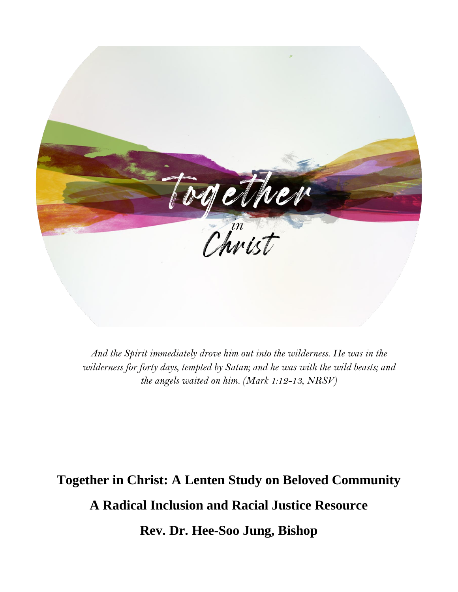

*And the Spirit immediately drove him out into the wilderness. He was in the wilderness for forty days, tempted by Satan; and he was with the wild beasts; and the angels waited on him. (Mark 1:12-13, NRSV)*

**Together in Christ: A Lenten Study on Beloved Community A Radical Inclusion and Racial Justice Resource Rev. Dr. Hee-Soo Jung, Bishop**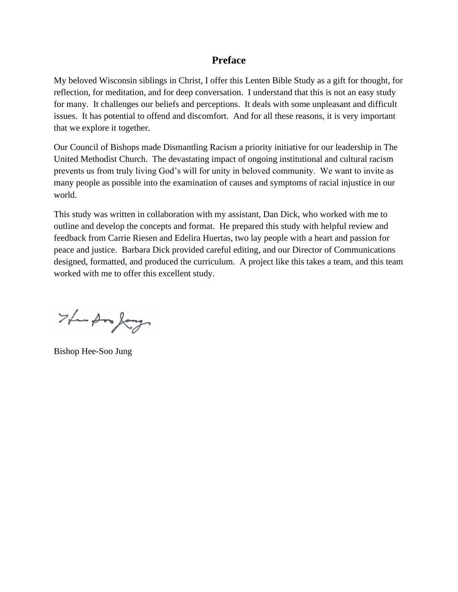# **Preface**

My beloved Wisconsin siblings in Christ, I offer this Lenten Bible Study as a gift for thought, for reflection, for meditation, and for deep conversation. I understand that this is not an easy study for many. It challenges our beliefs and perceptions. It deals with some unpleasant and difficult issues. It has potential to offend and discomfort. And for all these reasons, it is very important that we explore it together.

Our Council of Bishops made Dismantling Racism a priority initiative for our leadership in The United Methodist Church. The devastating impact of ongoing institutional and cultural racism prevents us from truly living God's will for unity in beloved community. We want to invite as many people as possible into the examination of causes and symptoms of racial injustice in our world.

This study was written in collaboration with my assistant, Dan Dick, who worked with me to outline and develop the concepts and format. He prepared this study with helpful review and feedback from Carrie Riesen and Edelira Huertas, two lay people with a heart and passion for peace and justice. Barbara Dick provided careful editing, and our Director of Communications designed, formatted, and produced the curriculum. A project like this takes a team, and this team worked with me to offer this excellent study.

The Ampagn

Bishop Hee-Soo Jung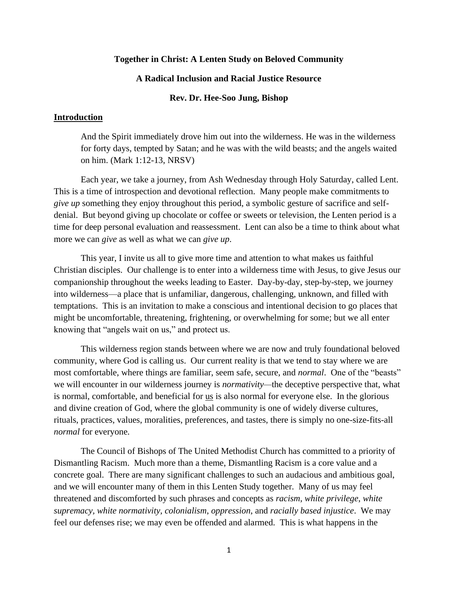#### **Together in Christ: A Lenten Study on Beloved Community**

### **A Radical Inclusion and Racial Justice Resource**

### **Rev. Dr. Hee-Soo Jung, Bishop**

#### **Introduction**

And the Spirit immediately drove him out into the wilderness. He was in the wilderness for forty days, tempted by Satan; and he was with the wild beasts; and the angels waited on him. (Mark 1:12-13, NRSV)

Each year, we take a journey, from Ash Wednesday through Holy Saturday, called Lent. This is a time of introspection and devotional reflection. Many people make commitments to *give up* something they enjoy throughout this period, a symbolic gesture of sacrifice and selfdenial. But beyond giving up chocolate or coffee or sweets or television, the Lenten period is a time for deep personal evaluation and reassessment. Lent can also be a time to think about what more we can *give* as well as what we can *give up*.

This year, I invite us all to give more time and attention to what makes us faithful Christian disciples. Our challenge is to enter into a wilderness time with Jesus, to give Jesus our companionship throughout the weeks leading to Easter. Day-by-day, step-by-step, we journey into wilderness—a place that is unfamiliar, dangerous, challenging, unknown, and filled with temptations. This is an invitation to make a conscious and intentional decision to go places that might be uncomfortable, threatening, frightening, or overwhelming for some; but we all enter knowing that "angels wait on us," and protect us.

This wilderness region stands between where we are now and truly foundational beloved community, where God is calling us. Our current reality is that we tend to stay where we are most comfortable, where things are familiar, seem safe, secure, and *normal*. One of the "beasts" we will encounter in our wilderness journey is *normativity—*the deceptive perspective that, what is normal, comfortable, and beneficial for us is also normal for everyone else. In the glorious and divine creation of God, where the global community is one of widely diverse cultures, rituals, practices, values, moralities, preferences, and tastes, there is simply no one-size-fits-all *normal* for everyone.

The Council of Bishops of The United Methodist Church has committed to a priority of Dismantling Racism. Much more than a theme, Dismantling Racism is a core value and a concrete goal. There are many significant challenges to such an audacious and ambitious goal, and we will encounter many of them in this Lenten Study together. Many of us may feel threatened and discomforted by such phrases and concepts as *racism*, *white privilege*, *white supremacy, white normativity, colonialism*, *oppression*, and *racially based injustice*. We may feel our defenses rise; we may even be offended and alarmed. This is what happens in the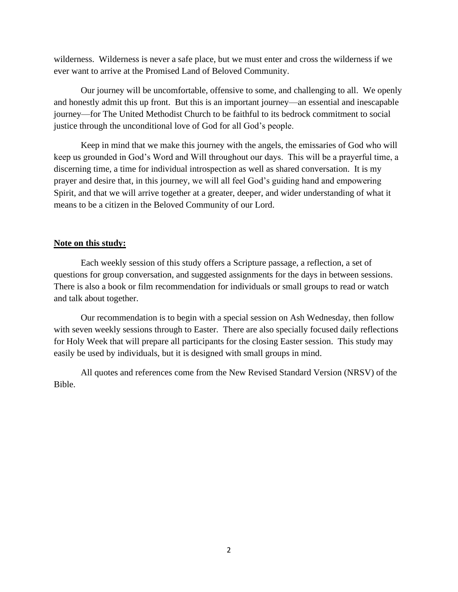wilderness. Wilderness is never a safe place, but we must enter and cross the wilderness if we ever want to arrive at the Promised Land of Beloved Community.

Our journey will be uncomfortable, offensive to some, and challenging to all. We openly and honestly admit this up front. But this is an important journey—an essential and inescapable journey—for The United Methodist Church to be faithful to its bedrock commitment to social justice through the unconditional love of God for all God's people.

Keep in mind that we make this journey with the angels, the emissaries of God who will keep us grounded in God's Word and Will throughout our days. This will be a prayerful time, a discerning time, a time for individual introspection as well as shared conversation. It is my prayer and desire that, in this journey, we will all feel God's guiding hand and empowering Spirit, and that we will arrive together at a greater, deeper, and wider understanding of what it means to be a citizen in the Beloved Community of our Lord.

### **Note on this study:**

Each weekly session of this study offers a Scripture passage, a reflection, a set of questions for group conversation, and suggested assignments for the days in between sessions. There is also a book or film recommendation for individuals or small groups to read or watch and talk about together.

Our recommendation is to begin with a special session on Ash Wednesday, then follow with seven weekly sessions through to Easter. There are also specially focused daily reflections for Holy Week that will prepare all participants for the closing Easter session. This study may easily be used by individuals, but it is designed with small groups in mind.

All quotes and references come from the New Revised Standard Version (NRSV) of the Bible.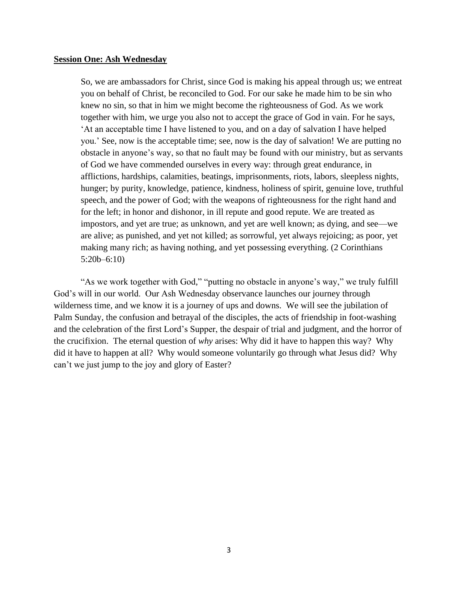#### **Session One: Ash Wednesday**

So, we are ambassadors for Christ, since God is making his appeal through us; we entreat you on behalf of Christ, be reconciled to God. For our sake he made him to be sin who knew no sin, so that in him we might become the righteousness of God. As we work together with him, we urge you also not to accept the grace of God in vain. For he says, 'At an acceptable time I have listened to you, and on a day of salvation I have helped you.' See, now is the acceptable time; see, now is the day of salvation! We are putting no obstacle in anyone's way, so that no fault may be found with our ministry, but as servants of God we have commended ourselves in every way: through great endurance, in afflictions, hardships, calamities, beatings, imprisonments, riots, labors, sleepless nights, hunger; by purity, knowledge, patience, kindness, holiness of spirit, genuine love, truthful speech, and the power of God; with the weapons of righteousness for the right hand and for the left; in honor and dishonor, in ill repute and good repute. We are treated as impostors, and yet are true; as unknown, and yet are well known; as dying, and see—we are alive; as punished, and yet not killed; as sorrowful, yet always rejoicing; as poor, yet making many rich; as having nothing, and yet possessing everything. (2 Corinthians 5:20b–6:10)

"As we work together with God," "putting no obstacle in anyone's way," we truly fulfill God's will in our world. Our Ash Wednesday observance launches our journey through wilderness time, and we know it is a journey of ups and downs. We will see the jubilation of Palm Sunday, the confusion and betrayal of the disciples, the acts of friendship in foot-washing and the celebration of the first Lord's Supper, the despair of trial and judgment, and the horror of the crucifixion. The eternal question of *why* arises: Why did it have to happen this way? Why did it have to happen at all? Why would someone voluntarily go through what Jesus did? Why can't we just jump to the joy and glory of Easter?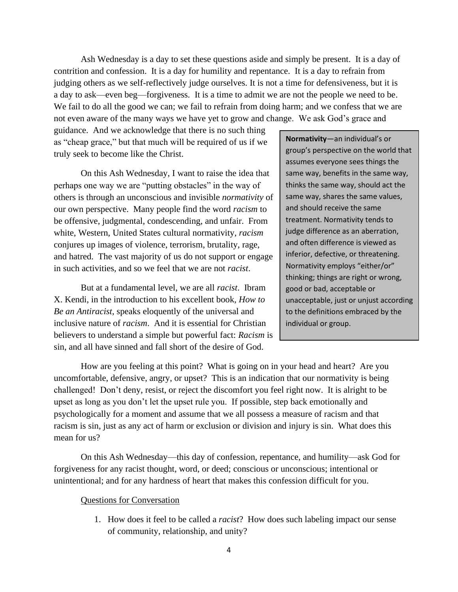Ash Wednesday is a day to set these questions aside and simply be present. It is a day of contrition and confession. It is a day for humility and repentance. It is a day to refrain from judging others as we self-reflectively judge ourselves. It is not a time for defensiveness, but it is a day to ask—even beg—forgiveness. It is a time to admit we are not the people we need to be. We fail to do all the good we can; we fail to refrain from doing harm; and we confess that we are not even aware of the many ways we have yet to grow and change. We ask God's grace and

guidance. And we acknowledge that there is no such thing as "cheap grace," but that much will be required of us if we truly seek to become like the Christ.

On this Ash Wednesday, I want to raise the idea that perhaps one way we are "putting obstacles" in the way of others is through an unconscious and invisible *normativity* of our own perspective. Many people find the word *racism* to be offensive, judgmental, condescending, and unfair. From white, Western, United States cultural normativity, *racism* conjures up images of violence, terrorism, brutality, rage, and hatred. The vast majority of us do not support or engage in such activities, and so we feel that we are not *racist*.

But at a fundamental level, we are all *racist*. Ibram X. Kendi, in the introduction to his excellent book, *How to Be an Antiracist*, speaks eloquently of the universal and inclusive nature of *racism*. And it is essential for Christian believers to understand a simple but powerful fact: *Racism* is sin, and all have sinned and fall short of the desire of God.

**Normativity**—an individual's or group's perspective on the world that assumes everyone sees things the same way, benefits in the same way, thinks the same way, should act the same way, shares the same values, and should receive the same treatment. Normativity tends to judge difference as an aberration, and often difference is viewed as inferior, defective, or threatening. Normativity employs "either/or" thinking; things are right or wrong, good or bad, acceptable or unacceptable, just or unjust according to the definitions embraced by the individual or group.

How are you feeling at this point? What is going on in your head and heart? Are you uncomfortable, defensive, angry, or upset? This is an indication that our normativity is being challenged! Don't deny, resist, or reject the discomfort you feel right now. It is alright to be upset as long as you don't let the upset rule you. If possible, step back emotionally and psychologically for a moment and assume that we all possess a measure of racism and that racism is sin, just as any act of harm or exclusion or division and injury is sin. What does this mean for us?

On this Ash Wednesday—this day of confession, repentance, and humility—ask God for forgiveness for any racist thought, word, or deed; conscious or unconscious; intentional or unintentional; and for any hardness of heart that makes this confession difficult for you.

### Questions for Conversation

1. How does it feel to be called a *racist*? How does such labeling impact our sense of community, relationship, and unity?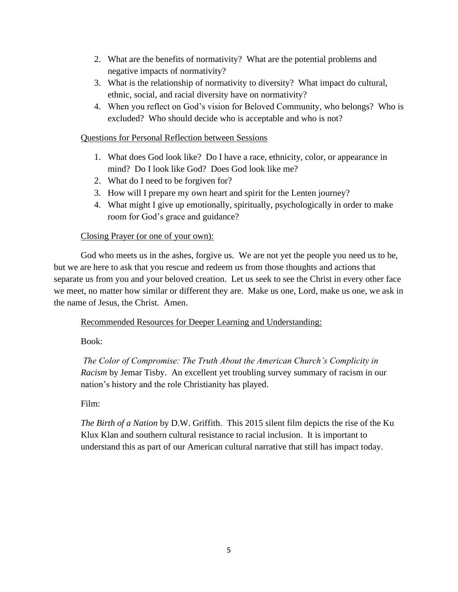- 2. What are the benefits of normativity? What are the potential problems and negative impacts of normativity?
- 3. What is the relationship of normativity to diversity? What impact do cultural, ethnic, social, and racial diversity have on normativity?
- 4. When you reflect on God's vision for Beloved Community, who belongs? Who is excluded? Who should decide who is acceptable and who is not?

## Questions for Personal Reflection between Sessions

- 1. What does God look like? Do I have a race, ethnicity, color, or appearance in mind? Do I look like God? Does God look like me?
- 2. What do I need to be forgiven for?
- 3. How will I prepare my own heart and spirit for the Lenten journey?
- 4. What might I give up emotionally, spiritually, psychologically in order to make room for God's grace and guidance?

## Closing Prayer (or one of your own):

God who meets us in the ashes, forgive us. We are not yet the people you need us to be, but we are here to ask that you rescue and redeem us from those thoughts and actions that separate us from you and your beloved creation. Let us seek to see the Christ in every other face we meet, no matter how similar or different they are. Make us one, Lord, make us one, we ask in the name of Jesus, the Christ. Amen.

## Recommended Resources for Deeper Learning and Understanding:

Book:

*The Color of Compromise: The Truth About the American Church's Complicity in Racism* by Jemar Tisby. An excellent yet troubling survey summary of racism in our nation's history and the role Christianity has played.

# Film:

*The Birth of a Nation* by D.W. Griffith. This 2015 silent film depicts the rise of the Ku Klux Klan and southern cultural resistance to racial inclusion. It is important to understand this as part of our American cultural narrative that still has impact today.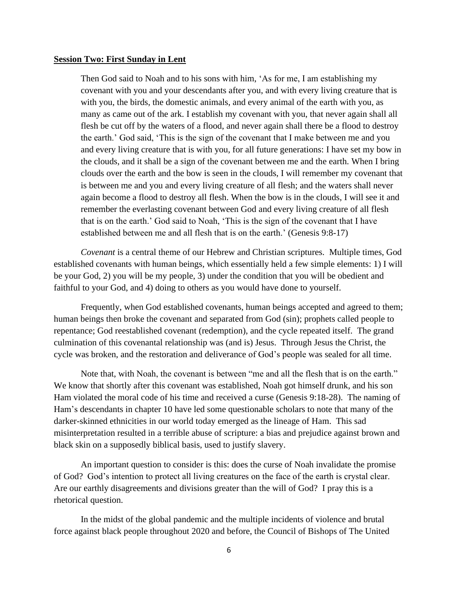#### **Session Two: First Sunday in Lent**

Then God said to Noah and to his sons with him, 'As for me, I am establishing my covenant with you and your descendants after you, and with every living creature that is with you, the birds, the domestic animals, and every animal of the earth with you, as many as came out of the ark. I establish my covenant with you, that never again shall all flesh be cut off by the waters of a flood, and never again shall there be a flood to destroy the earth.' God said, 'This is the sign of the covenant that I make between me and you and every living creature that is with you, for all future generations: I have set my bow in the clouds, and it shall be a sign of the covenant between me and the earth. When I bring clouds over the earth and the bow is seen in the clouds, I will remember my covenant that is between me and you and every living creature of all flesh; and the waters shall never again become a flood to destroy all flesh. When the bow is in the clouds, I will see it and remember the everlasting covenant between God and every living creature of all flesh that is on the earth.' God said to Noah, 'This is the sign of the covenant that I have established between me and all flesh that is on the earth.' (Genesis 9:8-17)

*Covenant* is a central theme of our Hebrew and Christian scriptures. Multiple times, God established covenants with human beings, which essentially held a few simple elements: 1) I will be your God, 2) you will be my people, 3) under the condition that you will be obedient and faithful to your God, and 4) doing to others as you would have done to yourself.

Frequently, when God established covenants, human beings accepted and agreed to them; human beings then broke the covenant and separated from God (sin); prophets called people to repentance; God reestablished covenant (redemption), and the cycle repeated itself. The grand culmination of this covenantal relationship was (and is) Jesus. Through Jesus the Christ, the cycle was broken, and the restoration and deliverance of God's people was sealed for all time.

Note that, with Noah, the covenant is between "me and all the flesh that is on the earth." We know that shortly after this covenant was established, Noah got himself drunk, and his son Ham violated the moral code of his time and received a curse (Genesis 9:18-28). The naming of Ham's descendants in chapter 10 have led some questionable scholars to note that many of the darker-skinned ethnicities in our world today emerged as the lineage of Ham. This sad misinterpretation resulted in a terrible abuse of scripture: a bias and prejudice against brown and black skin on a supposedly biblical basis, used to justify slavery.

An important question to consider is this: does the curse of Noah invalidate the promise of God? God's intention to protect all living creatures on the face of the earth is crystal clear. Are our earthly disagreements and divisions greater than the will of God? I pray this is a rhetorical question.

In the midst of the global pandemic and the multiple incidents of violence and brutal force against black people throughout 2020 and before, the Council of Bishops of The United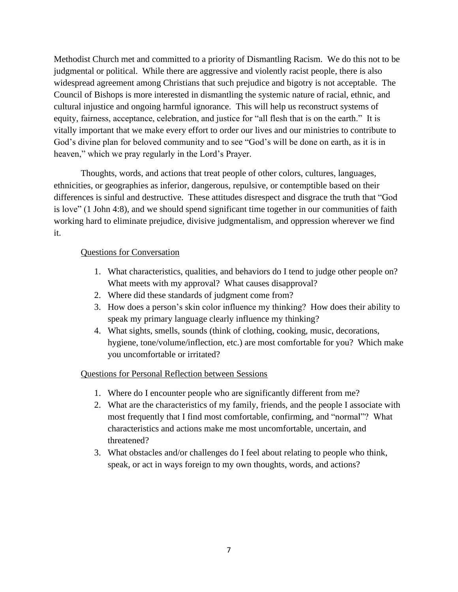Methodist Church met and committed to a priority of Dismantling Racism. We do this not to be judgmental or political. While there are aggressive and violently racist people, there is also widespread agreement among Christians that such prejudice and bigotry is not acceptable. The Council of Bishops is more interested in dismantling the systemic nature of racial, ethnic, and cultural injustice and ongoing harmful ignorance. This will help us reconstruct systems of equity, fairness, acceptance, celebration, and justice for "all flesh that is on the earth." It is vitally important that we make every effort to order our lives and our ministries to contribute to God's divine plan for beloved community and to see "God's will be done on earth, as it is in heaven," which we pray regularly in the Lord's Prayer.

Thoughts, words, and actions that treat people of other colors, cultures, languages, ethnicities, or geographies as inferior, dangerous, repulsive, or contemptible based on their differences is sinful and destructive. These attitudes disrespect and disgrace the truth that "God is love" (1 John 4:8), and we should spend significant time together in our communities of faith working hard to eliminate prejudice, divisive judgmentalism, and oppression wherever we find it.

### Questions for Conversation

- 1. What characteristics, qualities, and behaviors do I tend to judge other people on? What meets with my approval? What causes disapproval?
- 2. Where did these standards of judgment come from?
- 3. How does a person's skin color influence my thinking? How does their ability to speak my primary language clearly influence my thinking?
- 4. What sights, smells, sounds (think of clothing, cooking, music, decorations, hygiene, tone/volume/inflection, etc.) are most comfortable for you? Which make you uncomfortable or irritated?

### Questions for Personal Reflection between Sessions

- 1. Where do I encounter people who are significantly different from me?
- 2. What are the characteristics of my family, friends, and the people I associate with most frequently that I find most comfortable, confirming, and "normal"? What characteristics and actions make me most uncomfortable, uncertain, and threatened?
- 3. What obstacles and/or challenges do I feel about relating to people who think, speak, or act in ways foreign to my own thoughts, words, and actions?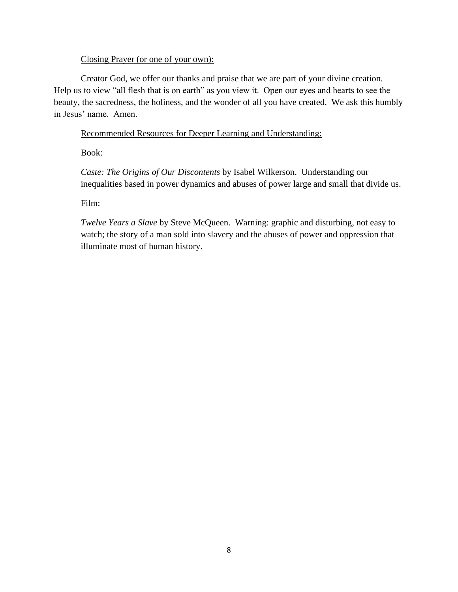### Closing Prayer (or one of your own):

Creator God, we offer our thanks and praise that we are part of your divine creation. Help us to view "all flesh that is on earth" as you view it. Open our eyes and hearts to see the beauty, the sacredness, the holiness, and the wonder of all you have created. We ask this humbly in Jesus' name. Amen.

Recommended Resources for Deeper Learning and Understanding:

Book:

*Caste: The Origins of Our Discontents* by Isabel Wilkerson. Understanding our inequalities based in power dynamics and abuses of power large and small that divide us.

Film:

*Twelve Years a Slave* by Steve McQueen. Warning: graphic and disturbing, not easy to watch; the story of a man sold into slavery and the abuses of power and oppression that illuminate most of human history.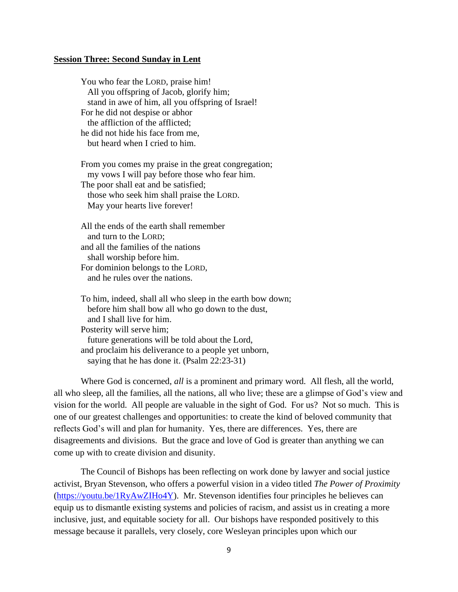#### **Session Three: Second Sunday in Lent**

You who fear the LORD, praise him! All you offspring of Jacob, glorify him; stand in awe of him, all you offspring of Israel! For he did not despise or abhor the affliction of the afflicted; he did not hide his face from me, but heard when I cried to him.

From you comes my praise in the great congregation; my vows I will pay before those who fear him. The poor shall eat and be satisfied; those who seek him shall praise the LORD. May your hearts live forever!

All the ends of the earth shall remember and turn to the LORD; and all the families of the nations shall worship before him. For dominion belongs to the LORD, and he rules over the nations.

To him, indeed, shall all who sleep in the earth bow down; before him shall bow all who go down to the dust, and I shall live for him. Posterity will serve him; future generations will be told about the Lord, and proclaim his deliverance to a people yet unborn, saying that he has done it. (Psalm 22:23-31)

Where God is concerned, *all* is a prominent and primary word. All flesh, all the world, all who sleep, all the families, all the nations, all who live; these are a glimpse of God's view and vision for the world. All people are valuable in the sight of God. For us? Not so much. This is one of our greatest challenges and opportunities: to create the kind of beloved community that reflects God's will and plan for humanity. Yes, there are differences. Yes, there are disagreements and divisions. But the grace and love of God is greater than anything we can come up with to create division and disunity.

The Council of Bishops has been reflecting on work done by lawyer and social justice activist, Bryan Stevenson, who offers a powerful vision in a video titled *The Power of Proximity* [\(https://youtu.be/1RyAwZIHo4Y\)](https://youtu.be/1RyAwZIHo4Y). Mr. Stevenson identifies four principles he believes can equip us to dismantle existing systems and policies of racism, and assist us in creating a more inclusive, just, and equitable society for all. Our bishops have responded positively to this message because it parallels, very closely, core Wesleyan principles upon which our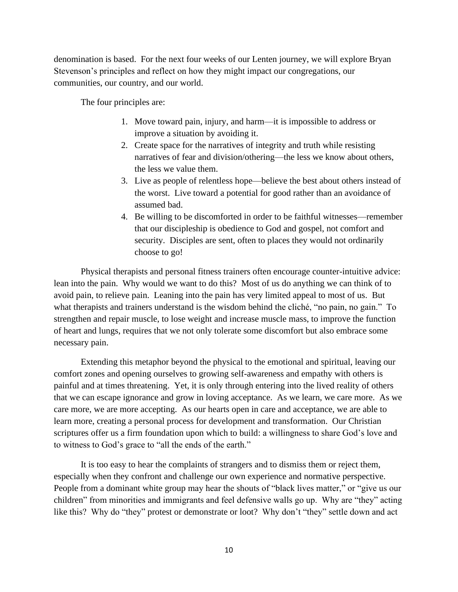denomination is based. For the next four weeks of our Lenten journey, we will explore Bryan Stevenson's principles and reflect on how they might impact our congregations, our communities, our country, and our world.

The four principles are:

- 1. Move toward pain, injury, and harm—it is impossible to address or improve a situation by avoiding it.
- 2. Create space for the narratives of integrity and truth while resisting narratives of fear and division/othering—the less we know about others, the less we value them.
- 3. Live as people of relentless hope—believe the best about others instead of the worst. Live toward a potential for good rather than an avoidance of assumed bad.
- 4. Be willing to be discomforted in order to be faithful witnesses—remember that our discipleship is obedience to God and gospel, not comfort and security. Disciples are sent, often to places they would not ordinarily choose to go!

Physical therapists and personal fitness trainers often encourage counter-intuitive advice: lean into the pain. Why would we want to do this? Most of us do anything we can think of to avoid pain, to relieve pain. Leaning into the pain has very limited appeal to most of us. But what therapists and trainers understand is the wisdom behind the cliché, "no pain, no gain." To strengthen and repair muscle, to lose weight and increase muscle mass, to improve the function of heart and lungs, requires that we not only tolerate some discomfort but also embrace some necessary pain.

Extending this metaphor beyond the physical to the emotional and spiritual, leaving our comfort zones and opening ourselves to growing self-awareness and empathy with others is painful and at times threatening. Yet, it is only through entering into the lived reality of others that we can escape ignorance and grow in loving acceptance. As we learn, we care more. As we care more, we are more accepting. As our hearts open in care and acceptance, we are able to learn more, creating a personal process for development and transformation. Our Christian scriptures offer us a firm foundation upon which to build: a willingness to share God's love and to witness to God's grace to "all the ends of the earth."

It is too easy to hear the complaints of strangers and to dismiss them or reject them, especially when they confront and challenge our own experience and normative perspective. People from a dominant white group may hear the shouts of "black lives matter," or "give us our children" from minorities and immigrants and feel defensive walls go up. Why are "they" acting like this? Why do "they" protest or demonstrate or loot? Why don't "they" settle down and act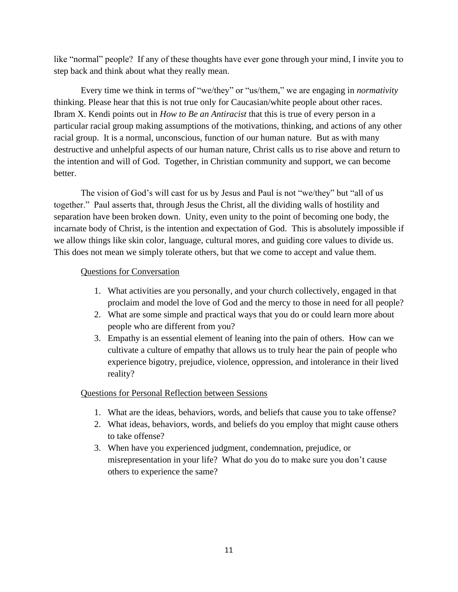like "normal" people? If any of these thoughts have ever gone through your mind, I invite you to step back and think about what they really mean.

Every time we think in terms of "we/they" or "us/them," we are engaging in *normativity* thinking. Please hear that this is not true only for Caucasian/white people about other races. Ibram X. Kendi points out in *How to Be an Antiracist* that this is true of every person in a particular racial group making assumptions of the motivations, thinking, and actions of any other racial group. It is a normal, unconscious, function of our human nature. But as with many destructive and unhelpful aspects of our human nature, Christ calls us to rise above and return to the intention and will of God. Together, in Christian community and support, we can become better.

The vision of God's will cast for us by Jesus and Paul is not "we/they" but "all of us together." Paul asserts that, through Jesus the Christ, all the dividing walls of hostility and separation have been broken down. Unity, even unity to the point of becoming one body, the incarnate body of Christ, is the intention and expectation of God. This is absolutely impossible if we allow things like skin color, language, cultural mores, and guiding core values to divide us. This does not mean we simply tolerate others, but that we come to accept and value them.

### Questions for Conversation

- 1. What activities are you personally, and your church collectively, engaged in that proclaim and model the love of God and the mercy to those in need for all people?
- 2. What are some simple and practical ways that you do or could learn more about people who are different from you?
- 3. Empathy is an essential element of leaning into the pain of others. How can we cultivate a culture of empathy that allows us to truly hear the pain of people who experience bigotry, prejudice, violence, oppression, and intolerance in their lived reality?

## Questions for Personal Reflection between Sessions

- 1. What are the ideas, behaviors, words, and beliefs that cause you to take offense?
- 2. What ideas, behaviors, words, and beliefs do you employ that might cause others to take offense?
- 3. When have you experienced judgment, condemnation, prejudice, or misrepresentation in your life? What do you do to make sure you don't cause others to experience the same?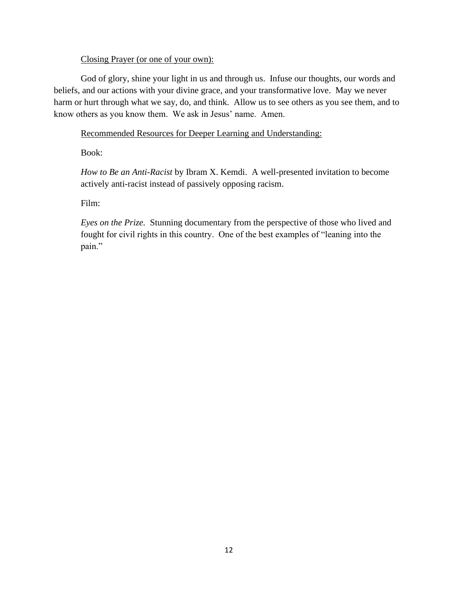### Closing Prayer (or one of your own):

God of glory, shine your light in us and through us. Infuse our thoughts, our words and beliefs, and our actions with your divine grace, and your transformative love. May we never harm or hurt through what we say, do, and think. Allow us to see others as you see them, and to know others as you know them. We ask in Jesus' name. Amen.

## Recommended Resources for Deeper Learning and Understanding:

Book:

*How to Be an Anti-Racist* by Ibram X. Kemdi. A well-presented invitation to become actively anti-racist instead of passively opposing racism.

Film:

*Eyes on the Prize.* Stunning documentary from the perspective of those who lived and fought for civil rights in this country. One of the best examples of "leaning into the pain."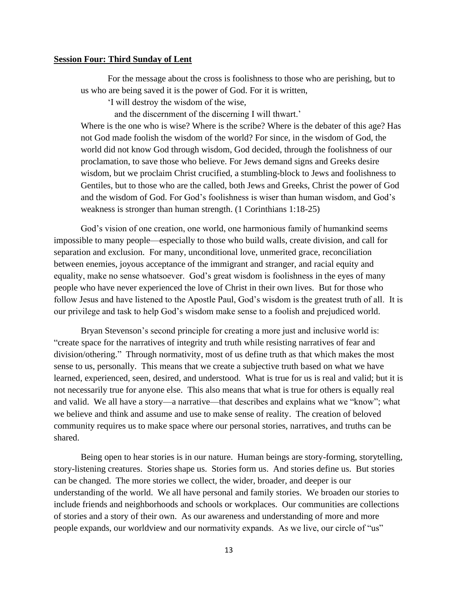#### **Session Four: Third Sunday of Lent**

For the message about the cross is foolishness to those who are perishing, but to us who are being saved it is the power of God. For it is written,

'I will destroy the wisdom of the wise,

and the discernment of the discerning I will thwart.'

Where is the one who is wise? Where is the scribe? Where is the debater of this age? Has not God made foolish the wisdom of the world? For since, in the wisdom of God, the world did not know God through wisdom, God decided, through the foolishness of our proclamation, to save those who believe. For Jews demand signs and Greeks desire wisdom, but we proclaim Christ crucified, a stumbling-block to Jews and foolishness to Gentiles, but to those who are the called, both Jews and Greeks, Christ the power of God and the wisdom of God. For God's foolishness is wiser than human wisdom, and God's weakness is stronger than human strength. (1 Corinthians 1:18-25)

God's vision of one creation, one world, one harmonious family of humankind seems impossible to many people—especially to those who build walls, create division, and call for separation and exclusion. For many, unconditional love, unmerited grace, reconciliation between enemies, joyous acceptance of the immigrant and stranger, and racial equity and equality, make no sense whatsoever. God's great wisdom is foolishness in the eyes of many people who have never experienced the love of Christ in their own lives. But for those who follow Jesus and have listened to the Apostle Paul, God's wisdom is the greatest truth of all. It is our privilege and task to help God's wisdom make sense to a foolish and prejudiced world.

Bryan Stevenson's second principle for creating a more just and inclusive world is: "create space for the narratives of integrity and truth while resisting narratives of fear and division/othering." Through normativity, most of us define truth as that which makes the most sense to us, personally. This means that we create a subjective truth based on what we have learned, experienced, seen, desired, and understood. What is true for us is real and valid; but it is not necessarily true for anyone else. This also means that what is true for others is equally real and valid. We all have a story—a narrative—that describes and explains what we "know"; what we believe and think and assume and use to make sense of reality. The creation of beloved community requires us to make space where our personal stories, narratives, and truths can be shared.

Being open to hear stories is in our nature. Human beings are story-forming, storytelling, story-listening creatures. Stories shape us. Stories form us. And stories define us. But stories can be changed. The more stories we collect, the wider, broader, and deeper is our understanding of the world. We all have personal and family stories. We broaden our stories to include friends and neighborhoods and schools or workplaces. Our communities are collections of stories and a story of their own. As our awareness and understanding of more and more people expands, our worldview and our normativity expands. As we live, our circle of "us"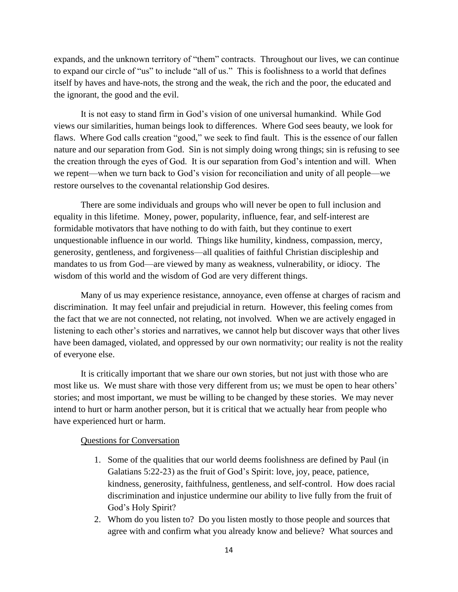expands, and the unknown territory of "them" contracts. Throughout our lives, we can continue to expand our circle of "us" to include "all of us." This is foolishness to a world that defines itself by haves and have-nots, the strong and the weak, the rich and the poor, the educated and the ignorant, the good and the evil.

It is not easy to stand firm in God's vision of one universal humankind. While God views our similarities, human beings look to differences. Where God sees beauty, we look for flaws. Where God calls creation "good," we seek to find fault. This is the essence of our fallen nature and our separation from God. Sin is not simply doing wrong things; sin is refusing to see the creation through the eyes of God. It is our separation from God's intention and will. When we repent—when we turn back to God's vision for reconciliation and unity of all people—we restore ourselves to the covenantal relationship God desires.

There are some individuals and groups who will never be open to full inclusion and equality in this lifetime. Money, power, popularity, influence, fear, and self-interest are formidable motivators that have nothing to do with faith, but they continue to exert unquestionable influence in our world. Things like humility, kindness, compassion, mercy, generosity, gentleness, and forgiveness—all qualities of faithful Christian discipleship and mandates to us from God—are viewed by many as weakness, vulnerability, or idiocy. The wisdom of this world and the wisdom of God are very different things.

Many of us may experience resistance, annoyance, even offense at charges of racism and discrimination. It may feel unfair and prejudicial in return. However, this feeling comes from the fact that we are not connected, not relating, not involved. When we are actively engaged in listening to each other's stories and narratives, we cannot help but discover ways that other lives have been damaged, violated, and oppressed by our own normativity; our reality is not the reality of everyone else.

It is critically important that we share our own stories, but not just with those who are most like us. We must share with those very different from us; we must be open to hear others' stories; and most important, we must be willing to be changed by these stories. We may never intend to hurt or harm another person, but it is critical that we actually hear from people who have experienced hurt or harm.

#### Questions for Conversation

- 1. Some of the qualities that our world deems foolishness are defined by Paul (in Galatians 5:22-23) as the fruit of God's Spirit: love, joy, peace, patience, kindness, generosity, faithfulness, gentleness, and self-control. How does racial discrimination and injustice undermine our ability to live fully from the fruit of God's Holy Spirit?
- 2. Whom do you listen to? Do you listen mostly to those people and sources that agree with and confirm what you already know and believe? What sources and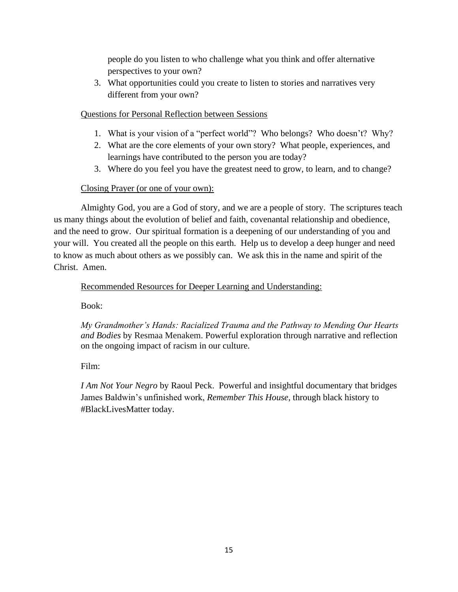people do you listen to who challenge what you think and offer alternative perspectives to your own?

3. What opportunities could you create to listen to stories and narratives very different from your own?

### Questions for Personal Reflection between Sessions

- 1. What is your vision of a "perfect world"? Who belongs? Who doesn't? Why?
- 2. What are the core elements of your own story? What people, experiences, and learnings have contributed to the person you are today?
- 3. Where do you feel you have the greatest need to grow, to learn, and to change?

## Closing Prayer (or one of your own):

Almighty God, you are a God of story, and we are a people of story. The scriptures teach us many things about the evolution of belief and faith, covenantal relationship and obedience, and the need to grow. Our spiritual formation is a deepening of our understanding of you and your will. You created all the people on this earth. Help us to develop a deep hunger and need to know as much about others as we possibly can. We ask this in the name and spirit of the Christ. Amen.

Recommended Resources for Deeper Learning and Understanding:

Book:

*My Grandmother's Hands: Racialized Trauma and the Pathway to Mending Our Hearts and Bodies* by Resmaa Menakem. Powerful exploration through narrative and reflection on the ongoing impact of racism in our culture.

Film:

*I Am Not Your Negro* by Raoul Peck. Powerful and insightful documentary that bridges James Baldwin's unfinished work, *Remember This House*, through black history to #BlackLivesMatter today.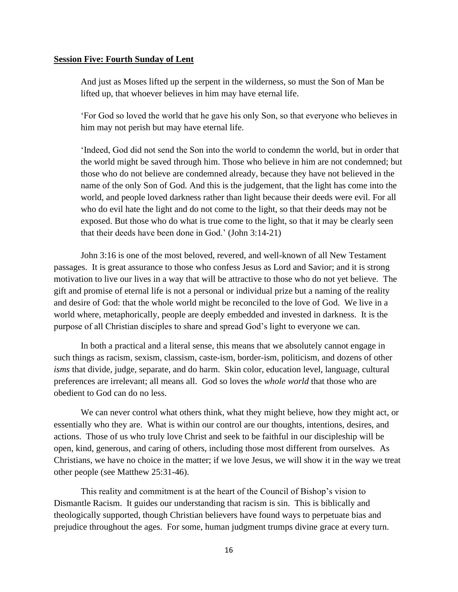### **Session Five: Fourth Sunday of Lent**

And just as Moses lifted up the serpent in the wilderness, so must the Son of Man be lifted up, that whoever believes in him may have eternal life.

'For God so loved the world that he gave his only Son, so that everyone who believes in him may not perish but may have eternal life.

'Indeed, God did not send the Son into the world to condemn the world, but in order that the world might be saved through him. Those who believe in him are not condemned; but those who do not believe are condemned already, because they have not believed in the name of the only Son of God. And this is the judgement, that the light has come into the world, and people loved darkness rather than light because their deeds were evil. For all who do evil hate the light and do not come to the light, so that their deeds may not be exposed. But those who do what is true come to the light, so that it may be clearly seen that their deeds have been done in God.' (John 3:14-21)

John 3:16 is one of the most beloved, revered, and well-known of all New Testament passages. It is great assurance to those who confess Jesus as Lord and Savior; and it is strong motivation to live our lives in a way that will be attractive to those who do not yet believe. The gift and promise of eternal life is not a personal or individual prize but a naming of the reality and desire of God: that the whole world might be reconciled to the love of God. We live in a world where, metaphorically, people are deeply embedded and invested in darkness. It is the purpose of all Christian disciples to share and spread God's light to everyone we can.

In both a practical and a literal sense, this means that we absolutely cannot engage in such things as racism, sexism, classism, caste-ism, border-ism, politicism, and dozens of other *isms* that divide, judge, separate, and do harm. Skin color, education level, language, cultural preferences are irrelevant; all means all. God so loves the *whole world* that those who are obedient to God can do no less.

We can never control what others think, what they might believe, how they might act, or essentially who they are. What is within our control are our thoughts, intentions, desires, and actions. Those of us who truly love Christ and seek to be faithful in our discipleship will be open, kind, generous, and caring of others, including those most different from ourselves. As Christians, we have no choice in the matter; if we love Jesus, we will show it in the way we treat other people (see Matthew 25:31-46).

This reality and commitment is at the heart of the Council of Bishop's vision to Dismantle Racism. It guides our understanding that racism is sin. This is biblically and theologically supported, though Christian believers have found ways to perpetuate bias and prejudice throughout the ages. For some, human judgment trumps divine grace at every turn.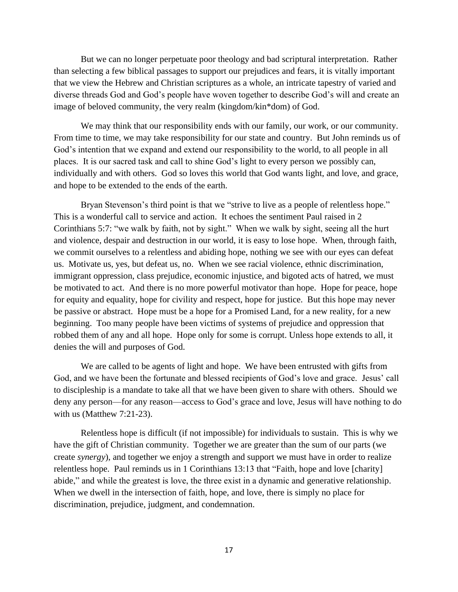But we can no longer perpetuate poor theology and bad scriptural interpretation. Rather than selecting a few biblical passages to support our prejudices and fears, it is vitally important that we view the Hebrew and Christian scriptures as a whole, an intricate tapestry of varied and diverse threads God and God's people have woven together to describe God's will and create an image of beloved community, the very realm (kingdom/kin\*dom) of God.

We may think that our responsibility ends with our family, our work, or our community. From time to time, we may take responsibility for our state and country. But John reminds us of God's intention that we expand and extend our responsibility to the world, to all people in all places. It is our sacred task and call to shine God's light to every person we possibly can, individually and with others. God so loves this world that God wants light, and love, and grace, and hope to be extended to the ends of the earth.

Bryan Stevenson's third point is that we "strive to live as a people of relentless hope." This is a wonderful call to service and action. It echoes the sentiment Paul raised in 2 Corinthians 5:7: "we walk by faith, not by sight." When we walk by sight, seeing all the hurt and violence, despair and destruction in our world, it is easy to lose hope. When, through faith, we commit ourselves to a relentless and abiding hope, nothing we see with our eyes can defeat us. Motivate us, yes, but defeat us, no. When we see racial violence, ethnic discrimination, immigrant oppression, class prejudice, economic injustice, and bigoted acts of hatred, we must be motivated to act. And there is no more powerful motivator than hope. Hope for peace, hope for equity and equality, hope for civility and respect, hope for justice. But this hope may never be passive or abstract. Hope must be a hope for a Promised Land, for a new reality, for a new beginning. Too many people have been victims of systems of prejudice and oppression that robbed them of any and all hope. Hope only for some is corrupt. Unless hope extends to all, it denies the will and purposes of God.

We are called to be agents of light and hope. We have been entrusted with gifts from God, and we have been the fortunate and blessed recipients of God's love and grace. Jesus' call to discipleship is a mandate to take all that we have been given to share with others. Should we deny any person—for any reason—access to God's grace and love, Jesus will have nothing to do with us (Matthew 7:21-23).

Relentless hope is difficult (if not impossible) for individuals to sustain. This is why we have the gift of Christian community. Together we are greater than the sum of our parts (we create *synergy*), and together we enjoy a strength and support we must have in order to realize relentless hope. Paul reminds us in 1 Corinthians 13:13 that "Faith, hope and love [charity] abide," and while the greatest is love, the three exist in a dynamic and generative relationship. When we dwell in the intersection of faith, hope, and love, there is simply no place for discrimination, prejudice, judgment, and condemnation.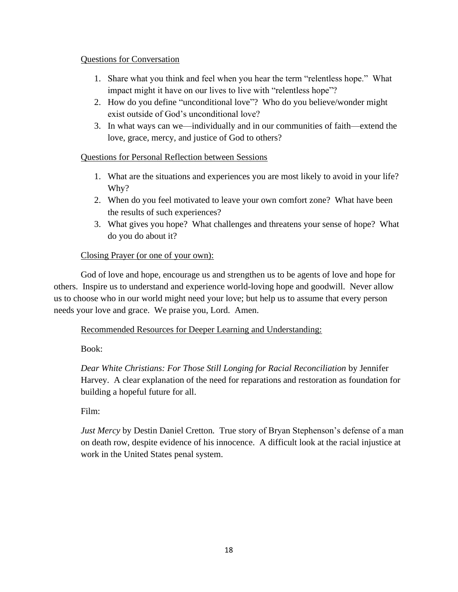### Questions for Conversation

- 1. Share what you think and feel when you hear the term "relentless hope." What impact might it have on our lives to live with "relentless hope"?
- 2. How do you define "unconditional love"? Who do you believe/wonder might exist outside of God's unconditional love?
- 3. In what ways can we—individually and in our communities of faith—extend the love, grace, mercy, and justice of God to others?

## Questions for Personal Reflection between Sessions

- 1. What are the situations and experiences you are most likely to avoid in your life? Why?
- 2. When do you feel motivated to leave your own comfort zone? What have been the results of such experiences?
- 3. What gives you hope? What challenges and threatens your sense of hope? What do you do about it?

## Closing Prayer (or one of your own):

God of love and hope, encourage us and strengthen us to be agents of love and hope for others. Inspire us to understand and experience world-loving hope and goodwill. Never allow us to choose who in our world might need your love; but help us to assume that every person needs your love and grace. We praise you, Lord. Amen.

### Recommended Resources for Deeper Learning and Understanding:

Book:

*Dear White Christians: For Those Still Longing for Racial Reconciliation* by Jennifer Harvey. A clear explanation of the need for reparations and restoration as foundation for building a hopeful future for all.

Film:

*Just Mercy* by Destin Daniel Cretton*.* True story of Bryan Stephenson's defense of a man on death row, despite evidence of his innocence. A difficult look at the racial injustice at work in the United States penal system.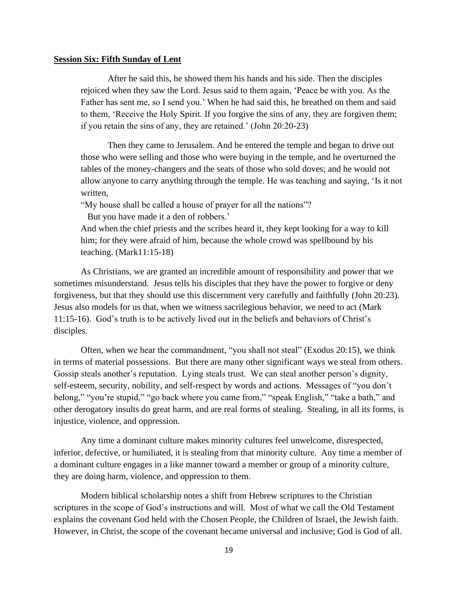#### **Session Six: Fifth Sunday of Lent**

After he said this, he showed them his hands and his side. Then the disciples rejoiced when they saw the Lord. Jesus said to them again, 'Peace be with you. As the Father has sent me, so I send you.' When he had said this, he breathed on them and said to them, 'Receive the Holy Spirit. If you forgive the sins of any, they are forgiven them; if you retain the sins of any, they are retained.' (John 20:20-23)

Then they came to Jerusalem. And he entered the temple and began to drive out those who were selling and those who were buying in the temple, and he overturned the tables of the money-changers and the seats of those who sold doves; and he would not allow anyone to carry anything through the temple. He was teaching and saying, 'Is it not written,

"My house shall be called a house of prayer for all the nations"?

But you have made it a den of robbers.'

And when the chief priests and the scribes heard it, they kept looking for a way to kill him; for they were afraid of him, because the whole crowd was spellbound by his teaching. (Mark11:15-18)

As Christians, we are granted an incredible amount of responsibility and power that we sometimes misunderstand. Jesus tells his disciples that they have the power to forgive or deny forgiveness, but that they should use this discernment very carefully and faithfully (John 20:23). Jesus also models for us that, when we witness sacrilegious behavior, we need to act (Mark 11:15-16). God's truth is to be actively lived out in the beliefs and behaviors of Christ's disciples.

Often, when we hear the commandment, "you shall not steal" (Exodus 20:15), we think in terms of material possessions. But there are many other significant ways we steal from others. Gossip steals another's reputation. Lying steals trust. We can steal another person's dignity, self-esteem, security, nobility, and self-respect by words and actions. Messages of "you don't belong," "you're stupid," "go back where you came from," "speak English," "take a bath," and other derogatory insults do great harm, and are real forms of stealing. Stealing, in all its forms, is injustice, violence, and oppression.

Any time a dominant culture makes minority cultures feel unwelcome, disrespected, inferior, defective, or humiliated, it is stealing from that minority culture. Any time a member of a dominant culture engages in a like manner toward a member or group of a minority culture, they are doing harm, violence, and oppression to them.

Modern biblical scholarship notes a shift from Hebrew scriptures to the Christian scriptures in the scope of God's instructions and will. Most of what we call the Old Testament explains the covenant God held with the Chosen People, the Children of Israel, the Jewish faith. However, in Christ, the scope of the covenant became universal and inclusive; God is God of all.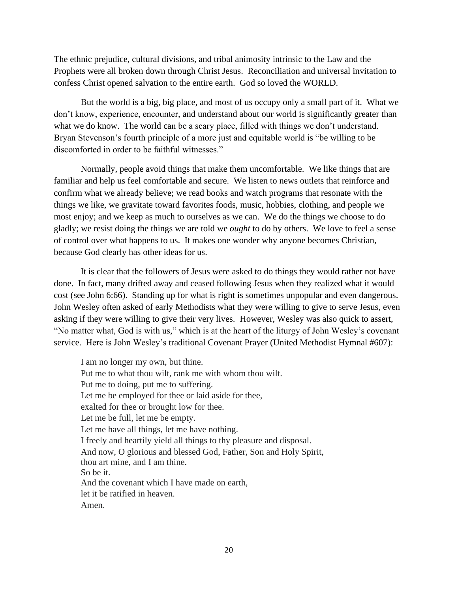The ethnic prejudice, cultural divisions, and tribal animosity intrinsic to the Law and the Prophets were all broken down through Christ Jesus. Reconciliation and universal invitation to confess Christ opened salvation to the entire earth. God so loved the WORLD.

But the world is a big, big place, and most of us occupy only a small part of it. What we don't know, experience, encounter, and understand about our world is significantly greater than what we do know. The world can be a scary place, filled with things we don't understand. Bryan Stevenson's fourth principle of a more just and equitable world is "be willing to be discomforted in order to be faithful witnesses."

Normally, people avoid things that make them uncomfortable. We like things that are familiar and help us feel comfortable and secure. We listen to news outlets that reinforce and confirm what we already believe; we read books and watch programs that resonate with the things we like, we gravitate toward favorites foods, music, hobbies, clothing, and people we most enjoy; and we keep as much to ourselves as we can. We do the things we choose to do gladly; we resist doing the things we are told we *ought* to do by others. We love to feel a sense of control over what happens to us. It makes one wonder why anyone becomes Christian, because God clearly has other ideas for us.

It is clear that the followers of Jesus were asked to do things they would rather not have done. In fact, many drifted away and ceased following Jesus when they realized what it would cost (see John 6:66). Standing up for what is right is sometimes unpopular and even dangerous. John Wesley often asked of early Methodists what they were willing to give to serve Jesus, even asking if they were willing to give their very lives. However, Wesley was also quick to assert, "No matter what, God is with us," which is at the heart of the liturgy of John Wesley's covenant service. Here is John Wesley's traditional Covenant Prayer (United Methodist Hymnal #607):

I am no longer my own, but thine. Put me to what thou wilt, rank me with whom thou wilt. Put me to doing, put me to suffering. Let me be employed for thee or laid aside for thee, exalted for thee or brought low for thee. Let me be full, let me be empty. Let me have all things, let me have nothing. I freely and heartily yield all things to thy pleasure and disposal. And now, O glorious and blessed God, Father, Son and Holy Spirit, thou art mine, and I am thine. So be it. And the covenant which I have made on earth, let it be ratified in heaven. Amen.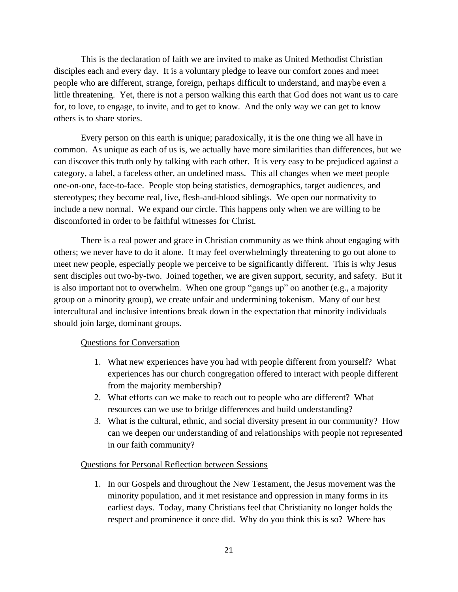This is the declaration of faith we are invited to make as United Methodist Christian disciples each and every day. It is a voluntary pledge to leave our comfort zones and meet people who are different, strange, foreign, perhaps difficult to understand, and maybe even a little threatening. Yet, there is not a person walking this earth that God does not want us to care for, to love, to engage, to invite, and to get to know. And the only way we can get to know others is to share stories.

Every person on this earth is unique; paradoxically, it is the one thing we all have in common. As unique as each of us is, we actually have more similarities than differences, but we can discover this truth only by talking with each other. It is very easy to be prejudiced against a category, a label, a faceless other, an undefined mass. This all changes when we meet people one-on-one, face-to-face. People stop being statistics, demographics, target audiences, and stereotypes; they become real, live, flesh-and-blood siblings. We open our normativity to include a new normal. We expand our circle. This happens only when we are willing to be discomforted in order to be faithful witnesses for Christ.

There is a real power and grace in Christian community as we think about engaging with others; we never have to do it alone. It may feel overwhelmingly threatening to go out alone to meet new people, especially people we perceive to be significantly different. This is why Jesus sent disciples out two-by-two. Joined together, we are given support, security, and safety. But it is also important not to overwhelm. When one group "gangs up" on another (e.g., a majority group on a minority group), we create unfair and undermining tokenism. Many of our best intercultural and inclusive intentions break down in the expectation that minority individuals should join large, dominant groups.

#### Questions for Conversation

- 1. What new experiences have you had with people different from yourself? What experiences has our church congregation offered to interact with people different from the majority membership?
- 2. What efforts can we make to reach out to people who are different? What resources can we use to bridge differences and build understanding?
- 3. What is the cultural, ethnic, and social diversity present in our community? How can we deepen our understanding of and relationships with people not represented in our faith community?

#### Questions for Personal Reflection between Sessions

1. In our Gospels and throughout the New Testament, the Jesus movement was the minority population, and it met resistance and oppression in many forms in its earliest days. Today, many Christians feel that Christianity no longer holds the respect and prominence it once did. Why do you think this is so? Where has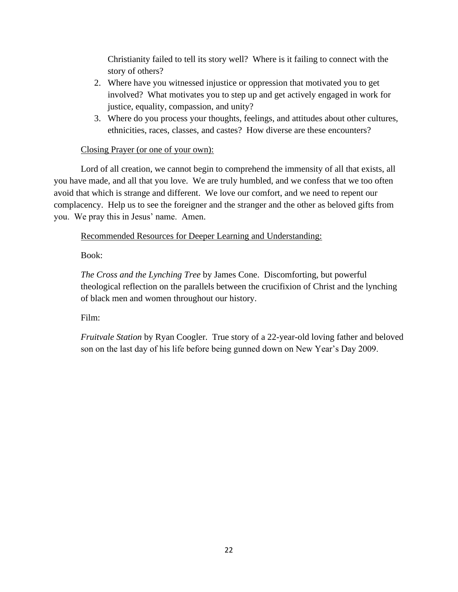Christianity failed to tell its story well? Where is it failing to connect with the story of others?

- 2. Where have you witnessed injustice or oppression that motivated you to get involved? What motivates you to step up and get actively engaged in work for justice, equality, compassion, and unity?
- 3. Where do you process your thoughts, feelings, and attitudes about other cultures, ethnicities, races, classes, and castes? How diverse are these encounters?

## Closing Prayer (or one of your own):

Lord of all creation, we cannot begin to comprehend the immensity of all that exists, all you have made, and all that you love. We are truly humbled, and we confess that we too often avoid that which is strange and different. We love our comfort, and we need to repent our complacency. Help us to see the foreigner and the stranger and the other as beloved gifts from you. We pray this in Jesus' name. Amen.

## Recommended Resources for Deeper Learning and Understanding:

Book:

*The Cross and the Lynching Tree* by James Cone. Discomforting, but powerful theological reflection on the parallels between the crucifixion of Christ and the lynching of black men and women throughout our history.

Film:

*Fruitvale Station* by Ryan Coogler. True story of a 22-year-old loving father and beloved son on the last day of his life before being gunned down on New Year's Day 2009.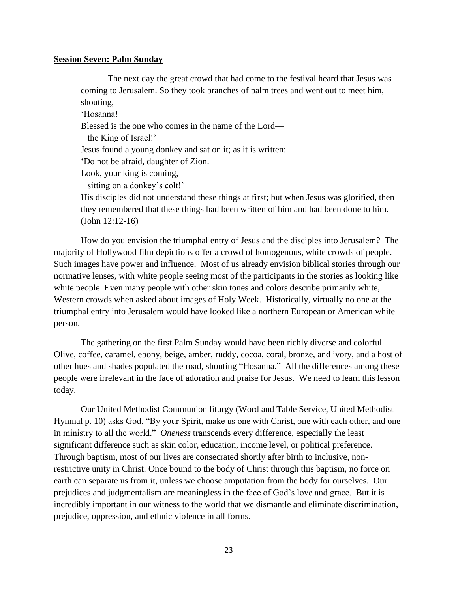#### **Session Seven: Palm Sunday**

The next day the great crowd that had come to the festival heard that Jesus was coming to Jerusalem. So they took branches of palm trees and went out to meet him, shouting,

'Hosanna! Blessed is the one who comes in the name of the Lord the King of Israel!' Jesus found a young donkey and sat on it; as it is written: 'Do not be afraid, daughter of Zion. Look, your king is coming, sitting on a donkey's colt!' His disciples did not understand these things at first; but when Jesus was glorified, then

they remembered that these things had been written of him and had been done to him. (John 12:12-16)

How do you envision the triumphal entry of Jesus and the disciples into Jerusalem? The majority of Hollywood film depictions offer a crowd of homogenous, white crowds of people. Such images have power and influence. Most of us already envision biblical stories through our normative lenses, with white people seeing most of the participants in the stories as looking like white people. Even many people with other skin tones and colors describe primarily white, Western crowds when asked about images of Holy Week. Historically, virtually no one at the triumphal entry into Jerusalem would have looked like a northern European or American white person.

The gathering on the first Palm Sunday would have been richly diverse and colorful. Olive, coffee, caramel, ebony, beige, amber, ruddy, cocoa, coral, bronze, and ivory, and a host of other hues and shades populated the road, shouting "Hosanna." All the differences among these people were irrelevant in the face of adoration and praise for Jesus. We need to learn this lesson today.

Our United Methodist Communion liturgy (Word and Table Service, United Methodist Hymnal p. 10) asks God, "By your Spirit, make us one with Christ, one with each other, and one in ministry to all the world." *Oneness* transcends every difference, especially the least significant difference such as skin color, education, income level, or political preference. Through baptism, most of our lives are consecrated shortly after birth to inclusive, nonrestrictive unity in Christ. Once bound to the body of Christ through this baptism, no force on earth can separate us from it, unless we choose amputation from the body for ourselves. Our prejudices and judgmentalism are meaningless in the face of God's love and grace. But it is incredibly important in our witness to the world that we dismantle and eliminate discrimination, prejudice, oppression, and ethnic violence in all forms.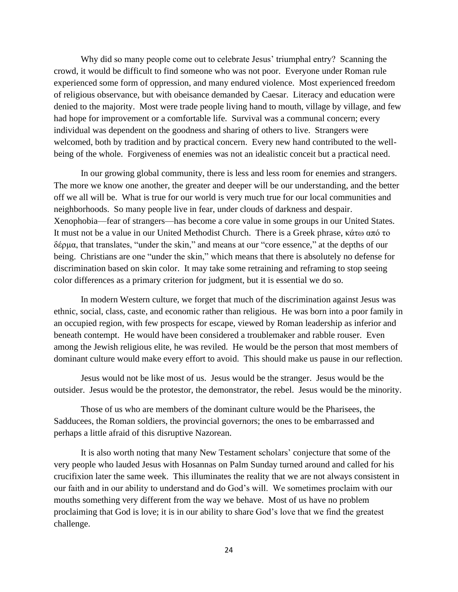Why did so many people come out to celebrate Jesus' triumphal entry? Scanning the crowd, it would be difficult to find someone who was not poor. Everyone under Roman rule experienced some form of oppression, and many endured violence. Most experienced freedom of religious observance, but with obeisance demanded by Caesar. Literacy and education were denied to the majority. Most were trade people living hand to mouth, village by village, and few had hope for improvement or a comfortable life. Survival was a communal concern; every individual was dependent on the goodness and sharing of others to live. Strangers were welcomed, both by tradition and by practical concern. Every new hand contributed to the wellbeing of the whole. Forgiveness of enemies was not an idealistic conceit but a practical need.

In our growing global community, there is less and less room for enemies and strangers. The more we know one another, the greater and deeper will be our understanding, and the better off we all will be. What is true for our world is very much true for our local communities and neighborhoods. So many people live in fear, under clouds of darkness and despair. Xenophobia—fear of strangers—has become a core value in some groups in our United States. It must not be a value in our United Methodist Church. There is a Greek phrase, κάτω από το δέρμα, that translates, "under the skin," and means at our "core essence," at the depths of our being. Christians are one "under the skin," which means that there is absolutely no defense for discrimination based on skin color. It may take some retraining and reframing to stop seeing color differences as a primary criterion for judgment, but it is essential we do so.

In modern Western culture, we forget that much of the discrimination against Jesus was ethnic, social, class, caste, and economic rather than religious. He was born into a poor family in an occupied region, with few prospects for escape, viewed by Roman leadership as inferior and beneath contempt. He would have been considered a troublemaker and rabble rouser. Even among the Jewish religious elite, he was reviled. He would be the person that most members of dominant culture would make every effort to avoid. This should make us pause in our reflection.

Jesus would not be like most of us. Jesus would be the stranger. Jesus would be the outsider. Jesus would be the protestor, the demonstrator, the rebel. Jesus would be the minority.

Those of us who are members of the dominant culture would be the Pharisees, the Sadducees, the Roman soldiers, the provincial governors; the ones to be embarrassed and perhaps a little afraid of this disruptive Nazorean.

It is also worth noting that many New Testament scholars' conjecture that some of the very people who lauded Jesus with Hosannas on Palm Sunday turned around and called for his crucifixion later the same week. This illuminates the reality that we are not always consistent in our faith and in our ability to understand and do God's will. We sometimes proclaim with our mouths something very different from the way we behave. Most of us have no problem proclaiming that God is love; it is in our ability to share God's love that we find the greatest challenge.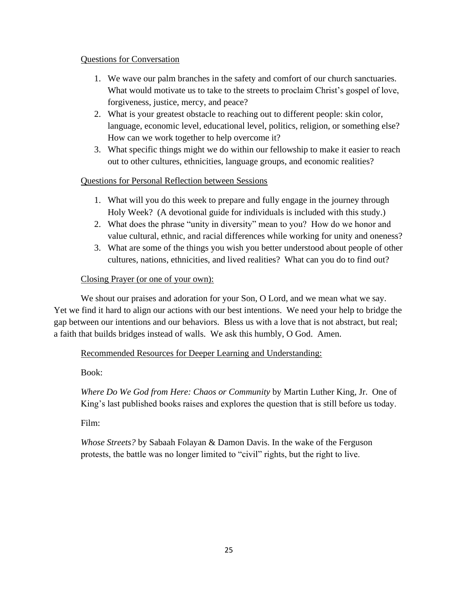### Questions for Conversation

- 1. We wave our palm branches in the safety and comfort of our church sanctuaries. What would motivate us to take to the streets to proclaim Christ's gospel of love, forgiveness, justice, mercy, and peace?
- 2. What is your greatest obstacle to reaching out to different people: skin color, language, economic level, educational level, politics, religion, or something else? How can we work together to help overcome it?
- 3. What specific things might we do within our fellowship to make it easier to reach out to other cultures, ethnicities, language groups, and economic realities?

## Questions for Personal Reflection between Sessions

- 1. What will you do this week to prepare and fully engage in the journey through Holy Week? (A devotional guide for individuals is included with this study.)
- 2. What does the phrase "unity in diversity" mean to you? How do we honor and value cultural, ethnic, and racial differences while working for unity and oneness?
- 3. What are some of the things you wish you better understood about people of other cultures, nations, ethnicities, and lived realities? What can you do to find out?

## Closing Prayer (or one of your own):

We shout our praises and adoration for your Son, O Lord, and we mean what we say. Yet we find it hard to align our actions with our best intentions. We need your help to bridge the gap between our intentions and our behaviors. Bless us with a love that is not abstract, but real; a faith that builds bridges instead of walls. We ask this humbly, O God. Amen.

Recommended Resources for Deeper Learning and Understanding:

Book:

*Where Do We God from Here: Chaos or Community* by Martin Luther King, Jr. One of King's last published books raises and explores the question that is still before us today.

Film:

*Whose Streets?* by Sabaah Folayan & Damon Davis. In the wake of the Ferguson protests, the battle was no longer limited to "civil" rights, but the right to live.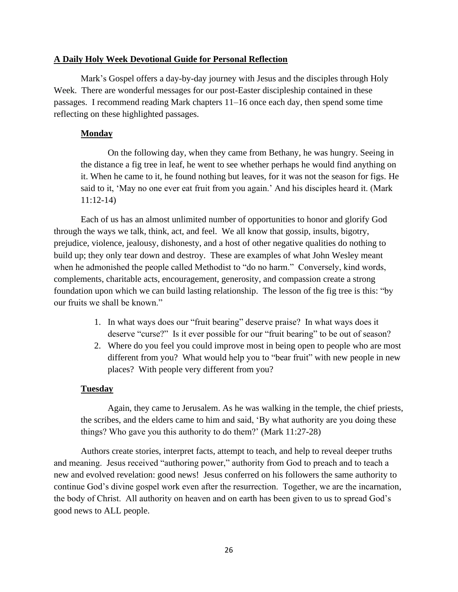### **A Daily Holy Week Devotional Guide for Personal Reflection**

Mark's Gospel offers a day-by-day journey with Jesus and the disciples through Holy Week. There are wonderful messages for our post-Easter discipleship contained in these passages. I recommend reading Mark chapters 11–16 once each day, then spend some time reflecting on these highlighted passages.

### **Monday**

On the following day, when they came from Bethany, he was hungry. Seeing in the distance a fig tree in leaf, he went to see whether perhaps he would find anything on it. When he came to it, he found nothing but leaves, for it was not the season for figs. He said to it, 'May no one ever eat fruit from you again.' And his disciples heard it. (Mark 11:12-14)

Each of us has an almost unlimited number of opportunities to honor and glorify God through the ways we talk, think, act, and feel. We all know that gossip, insults, bigotry, prejudice, violence, jealousy, dishonesty, and a host of other negative qualities do nothing to build up; they only tear down and destroy. These are examples of what John Wesley meant when he admonished the people called Methodist to "do no harm." Conversely, kind words, complements, charitable acts, encouragement, generosity, and compassion create a strong foundation upon which we can build lasting relationship. The lesson of the fig tree is this: "by our fruits we shall be known."

- 1. In what ways does our "fruit bearing" deserve praise? In what ways does it deserve "curse?" Is it ever possible for our "fruit bearing" to be out of season?
- 2. Where do you feel you could improve most in being open to people who are most different from you? What would help you to "bear fruit" with new people in new places? With people very different from you?

### **Tuesday**

Again, they came to Jerusalem. As he was walking in the temple, the chief priests, the scribes, and the elders came to him and said, 'By what authority are you doing these things? Who gave you this authority to do them?' (Mark 11:27-28)

Authors create stories, interpret facts, attempt to teach, and help to reveal deeper truths and meaning. Jesus received "authoring power," authority from God to preach and to teach a new and evolved revelation: good news! Jesus conferred on his followers the same authority to continue God's divine gospel work even after the resurrection. Together, we are the incarnation, the body of Christ. All authority on heaven and on earth has been given to us to spread God's good news to ALL people.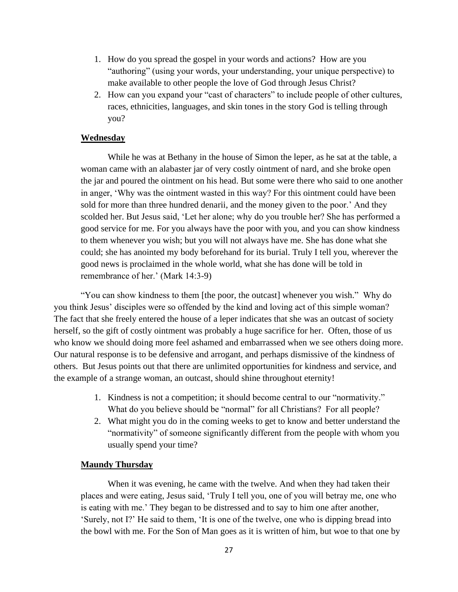- 1. How do you spread the gospel in your words and actions? How are you "authoring" (using your words, your understanding, your unique perspective) to make available to other people the love of God through Jesus Christ?
- 2. How can you expand your "cast of characters" to include people of other cultures, races, ethnicities, languages, and skin tones in the story God is telling through you?

#### **Wednesday**

While he was at Bethany in the house of Simon the leper, as he sat at the table, a woman came with an alabaster jar of very costly ointment of nard, and she broke open the jar and poured the ointment on his head. But some were there who said to one another in anger, 'Why was the ointment wasted in this way? For this ointment could have been sold for more than three hundred denarii, and the money given to the poor.' And they scolded her. But Jesus said, 'Let her alone; why do you trouble her? She has performed a good service for me. For you always have the poor with you, and you can show kindness to them whenever you wish; but you will not always have me. She has done what she could; she has anointed my body beforehand for its burial. Truly I tell you, wherever the good news is proclaimed in the whole world, what she has done will be told in remembrance of her.' (Mark 14:3-9)

"You can show kindness to them [the poor, the outcast] whenever you wish." Why do you think Jesus' disciples were so offended by the kind and loving act of this simple woman? The fact that she freely entered the house of a leper indicates that she was an outcast of society herself, so the gift of costly ointment was probably a huge sacrifice for her. Often, those of us who know we should doing more feel ashamed and embarrassed when we see others doing more. Our natural response is to be defensive and arrogant, and perhaps dismissive of the kindness of others. But Jesus points out that there are unlimited opportunities for kindness and service, and the example of a strange woman, an outcast, should shine throughout eternity!

- 1. Kindness is not a competition; it should become central to our "normativity." What do you believe should be "normal" for all Christians? For all people?
- 2. What might you do in the coming weeks to get to know and better understand the "normativity" of someone significantly different from the people with whom you usually spend your time?

### **Maundy Thursday**

When it was evening, he came with the twelve. And when they had taken their places and were eating, Jesus said, 'Truly I tell you, one of you will betray me, one who is eating with me.' They began to be distressed and to say to him one after another, 'Surely, not I?' He said to them, 'It is one of the twelve, one who is dipping bread into the bowl with me. For the Son of Man goes as it is written of him, but woe to that one by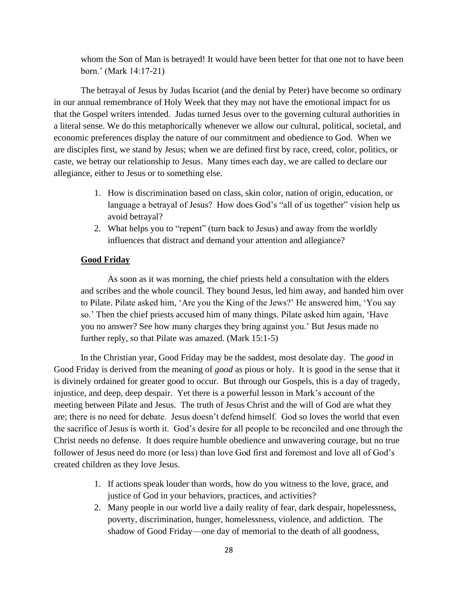whom the Son of Man is betrayed! It would have been better for that one not to have been born.' (Mark 14:17-21)

The betrayal of Jesus by Judas Iscariot (and the denial by Peter) have become so ordinary in our annual remembrance of Holy Week that they may not have the emotional impact for us that the Gospel writers intended. Judas turned Jesus over to the governing cultural authorities in a literal sense. We do this metaphorically whenever we allow our cultural, political, societal, and economic preferences display the nature of our commitment and obedience to God. When we are disciples first, we stand by Jesus; when we are defined first by race, creed, color, politics, or caste, we betray our relationship to Jesus. Many times each day, we are called to declare our allegiance, either to Jesus or to something else.

- 1. How is discrimination based on class, skin color, nation of origin, education, or language a betrayal of Jesus? How does God's "all of us together" vision help us avoid betrayal?
- 2. What helps you to "repent" (turn back to Jesus) and away from the worldly influences that distract and demand your attention and allegiance?

### **Good Friday**

As soon as it was morning, the chief priests held a consultation with the elders and scribes and the whole council. They bound Jesus, led him away, and handed him over to Pilate. Pilate asked him, 'Are you the King of the Jews?' He answered him, 'You say so.' Then the chief priests accused him of many things. Pilate asked him again, 'Have you no answer? See how many charges they bring against you.' But Jesus made no further reply, so that Pilate was amazed. (Mark 15:1-5)

In the Christian year, Good Friday may be the saddest, most desolate day. The *good* in Good Friday is derived from the meaning of *good* as pious or holy. It is good in the sense that it is divinely ordained for greater good to occur. But through our Gospels, this is a day of tragedy, injustice, and deep, deep despair. Yet there is a powerful lesson in Mark's account of the meeting between Pilate and Jesus. The truth of Jesus Christ and the will of God are what they are; there is no need for debate. Jesus doesn't defend himself. God so loves the world that even the sacrifice of Jesus is worth it. God's desire for all people to be reconciled and one through the Christ needs no defense. It does require humble obedience and unwavering courage, but no true follower of Jesus need do more (or less) than love God first and foremost and love all of God's created children as they love Jesus.

- 1. If actions speak louder than words, how do you witness to the love, grace, and justice of God in your behaviors, practices, and activities?
- 2. Many people in our world live a daily reality of fear, dark despair, hopelessness, poverty, discrimination, hunger, homelessness, violence, and addiction. The shadow of Good Friday—one day of memorial to the death of all goodness,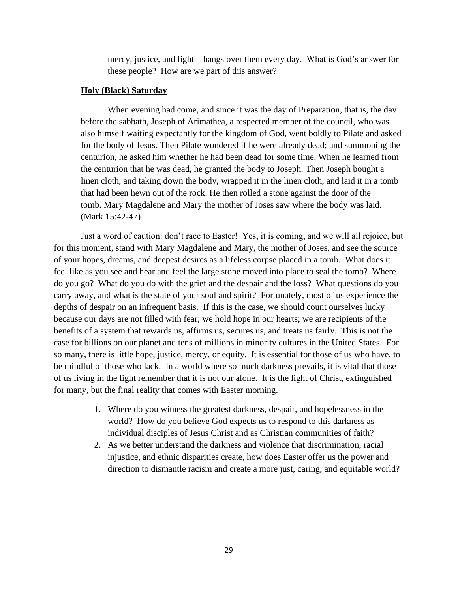mercy, justice, and light—hangs over them every day. What is God's answer for these people? How are we part of this answer?

### **Holy (Black) Saturday**

When evening had come, and since it was the day of Preparation, that is, the day before the sabbath, Joseph of Arimathea, a respected member of the council, who was also himself waiting expectantly for the kingdom of God, went boldly to Pilate and asked for the body of Jesus. Then Pilate wondered if he were already dead; and summoning the centurion, he asked him whether he had been dead for some time. When he learned from the centurion that he was dead, he granted the body to Joseph. Then Joseph bought a linen cloth, and taking down the body, wrapped it in the linen cloth, and laid it in a tomb that had been hewn out of the rock. He then rolled a stone against the door of the tomb. Mary Magdalene and Mary the mother of Joses saw where the body was laid. (Mark 15:42-47)

Just a word of caution: don't race to Easter! Yes, it is coming, and we will all rejoice, but for this moment, stand with Mary Magdalene and Mary, the mother of Joses, and see the source of your hopes, dreams, and deepest desires as a lifeless corpse placed in a tomb. What does it feel like as you see and hear and feel the large stone moved into place to seal the tomb? Where do you go? What do you do with the grief and the despair and the loss? What questions do you carry away, and what is the state of your soul and spirit? Fortunately, most of us experience the depths of despair on an infrequent basis. If this is the case, we should count ourselves lucky because our days are not filled with fear; we hold hope in our hearts; we are recipients of the benefits of a system that rewards us, affirms us, secures us, and treats us fairly. This is not the case for billions on our planet and tens of millions in minority cultures in the United States. For so many, there is little hope, justice, mercy, or equity. It is essential for those of us who have, to be mindful of those who lack. In a world where so much darkness prevails, it is vital that those of us living in the light remember that it is not our alone. It is the light of Christ, extinguished for many, but the final reality that comes with Easter morning.

- 1. Where do you witness the greatest darkness, despair, and hopelessness in the world? How do you believe God expects us to respond to this darkness as individual disciples of Jesus Christ and as Christian communities of faith?
- 2. As we better understand the darkness and violence that discrimination, racial injustice, and ethnic disparities create, how does Easter offer us the power and direction to dismantle racism and create a more just, caring, and equitable world?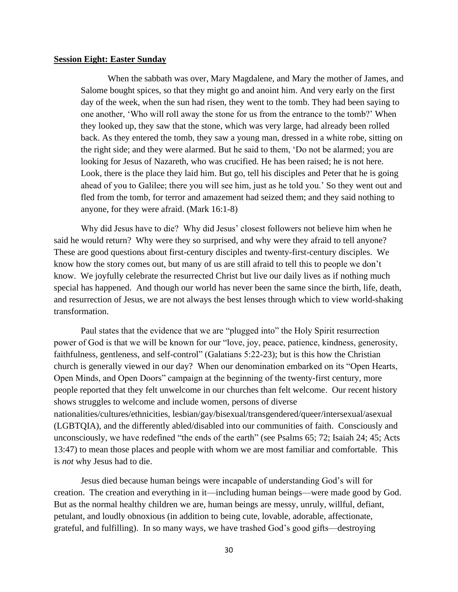#### **Session Eight: Easter Sunday**

When the sabbath was over, Mary Magdalene, and Mary the mother of James, and Salome bought spices, so that they might go and anoint him. And very early on the first day of the week, when the sun had risen, they went to the tomb. They had been saying to one another, 'Who will roll away the stone for us from the entrance to the tomb?' When they looked up, they saw that the stone, which was very large, had already been rolled back. As they entered the tomb, they saw a young man, dressed in a white robe, sitting on the right side; and they were alarmed. But he said to them, 'Do not be alarmed; you are looking for Jesus of Nazareth, who was crucified. He has been raised; he is not here. Look, there is the place they laid him. But go, tell his disciples and Peter that he is going ahead of you to Galilee; there you will see him, just as he told you.' So they went out and fled from the tomb, for terror and amazement had seized them; and they said nothing to anyone, for they were afraid. (Mark 16:1-8)

Why did Jesus have to die? Why did Jesus' closest followers not believe him when he said he would return? Why were they so surprised, and why were they afraid to tell anyone? These are good questions about first-century disciples and twenty-first-century disciples. We know how the story comes out, but many of us are still afraid to tell this to people we don't know. We joyfully celebrate the resurrected Christ but live our daily lives as if nothing much special has happened. And though our world has never been the same since the birth, life, death, and resurrection of Jesus, we are not always the best lenses through which to view world-shaking transformation.

Paul states that the evidence that we are "plugged into" the Holy Spirit resurrection power of God is that we will be known for our "love, joy, peace, patience, kindness, generosity, faithfulness, gentleness, and self-control" (Galatians 5:22-23); but is this how the Christian church is generally viewed in our day? When our denomination embarked on its "Open Hearts, Open Minds, and Open Doors" campaign at the beginning of the twenty-first century, more people reported that they felt unwelcome in our churches than felt welcome. Our recent history shows struggles to welcome and include women, persons of diverse nationalities/cultures/ethnicities, lesbian/gay/bisexual/transgendered/queer/intersexual/asexual (LGBTQIA), and the differently abled/disabled into our communities of faith. Consciously and unconsciously, we have redefined "the ends of the earth" (see Psalms 65; 72; Isaiah 24; 45; Acts 13:47) to mean those places and people with whom we are most familiar and comfortable. This is *not* why Jesus had to die.

Jesus died because human beings were incapable of understanding God's will for creation. The creation and everything in it—including human beings—were made good by God. But as the normal healthy children we are, human beings are messy, unruly, willful, defiant, petulant, and loudly obnoxious (in addition to being cute, lovable, adorable, affectionate, grateful, and fulfilling). In so many ways, we have trashed God's good gifts—destroying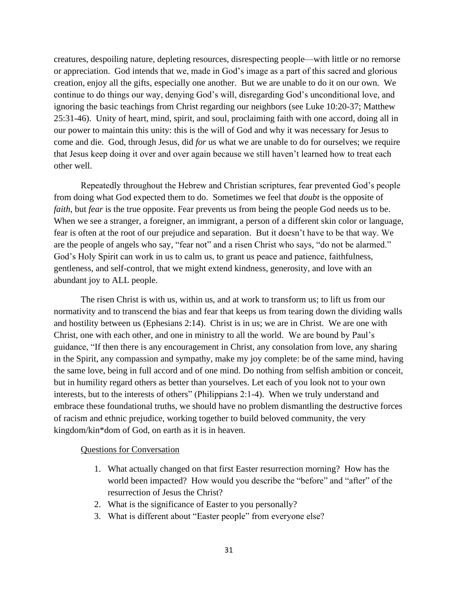creatures, despoiling nature, depleting resources, disrespecting people—with little or no remorse or appreciation. God intends that we, made in God's image as a part of this sacred and glorious creation, enjoy all the gifts, especially one another. But we are unable to do it on our own. We continue to do things our way, denying God's will, disregarding God's unconditional love, and ignoring the basic teachings from Christ regarding our neighbors (see Luke 10:20-37; Matthew 25:31-46). Unity of heart, mind, spirit, and soul, proclaiming faith with one accord, doing all in our power to maintain this unity: this is the will of God and why it was necessary for Jesus to come and die. God, through Jesus, did *for* us what we are unable to do for ourselves; we require that Jesus keep doing it over and over again because we still haven't learned how to treat each other well.

Repeatedly throughout the Hebrew and Christian scriptures, fear prevented God's people from doing what God expected them to do. Sometimes we feel that *doubt* is the opposite of *faith*, but *fear* is the true opposite. Fear prevents us from being the people God needs us to be. When we see a stranger, a foreigner, an immigrant, a person of a different skin color or language, fear is often at the root of our prejudice and separation. But it doesn't have to be that way. We are the people of angels who say, "fear not" and a risen Christ who says, "do not be alarmed." God's Holy Spirit can work in us to calm us, to grant us peace and patience, faithfulness, gentleness, and self-control, that we might extend kindness, generosity, and love with an abundant joy to ALL people.

The risen Christ is with us, within us, and at work to transform us; to lift us from our normativity and to transcend the bias and fear that keeps us from tearing down the dividing walls and hostility between us (Ephesians 2:14). Christ is in us; we are in Christ. We are one with Christ, one with each other, and one in ministry to all the world. We are bound by Paul's guidance, "If then there is any encouragement in Christ, any consolation from love, any sharing in the Spirit, any compassion and sympathy, make my joy complete: be of the same mind, having the same love, being in full accord and of one mind. Do nothing from selfish ambition or conceit, but in humility regard others as better than yourselves. Let each of you look not to your own interests, but to the interests of others" (Philippians 2:1-4). When we truly understand and embrace these foundational truths, we should have no problem dismantling the destructive forces of racism and ethnic prejudice, working together to build beloved community, the very kingdom/kin\*dom of God, on earth as it is in heaven.

#### Questions for Conversation

- 1. What actually changed on that first Easter resurrection morning? How has the world been impacted? How would you describe the "before" and "after" of the resurrection of Jesus the Christ?
- 2. What is the significance of Easter to you personally?
- 3. What is different about "Easter people" from everyone else?